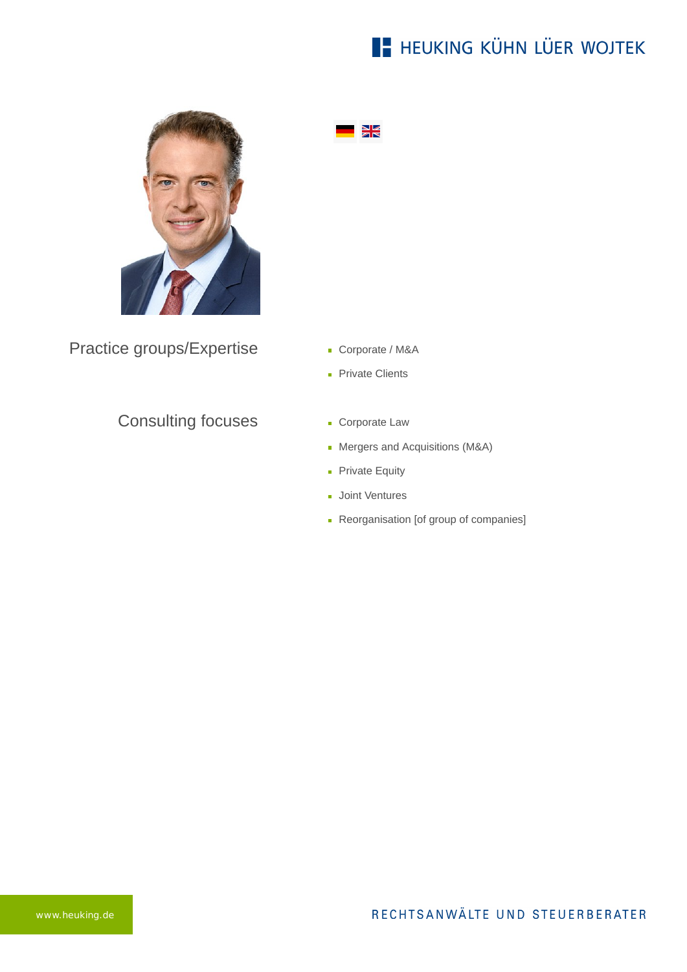# **E- HEUKING KÜHN LÜER WOJTEK**



 $\frac{N}{N}$ 

Practice groups/Expertise

- Corporate / M&A
- **Private Clients**

#### Consulting focuses

- **Corporate Law**
- Mergers and Acquisitions (M&A)
- **Private Equity**
- **Joint Ventures**
- Reorganisation [of group of companies]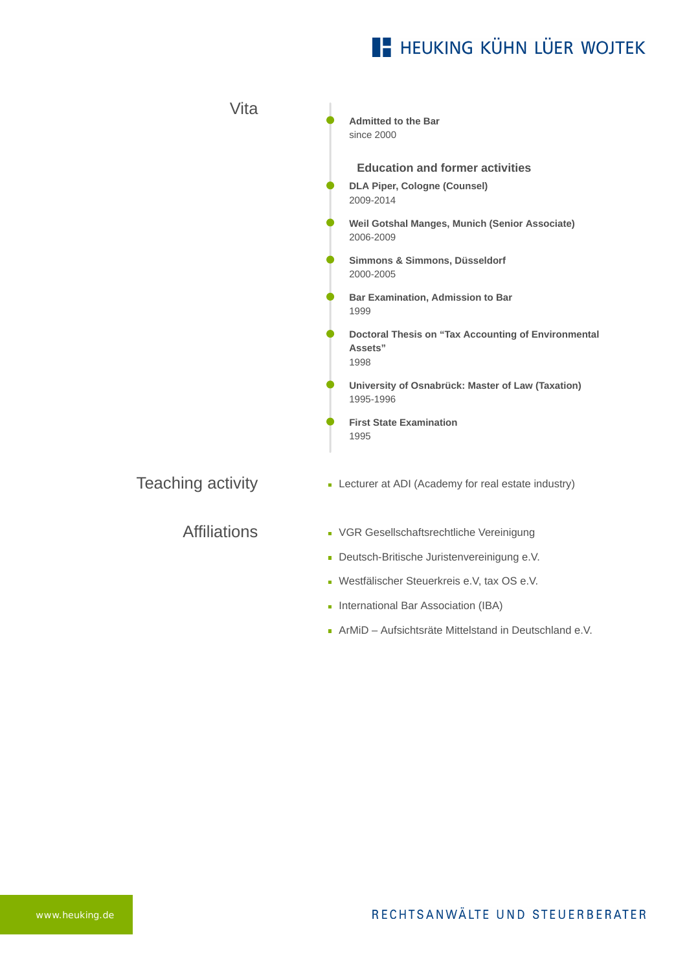## **E** HEUKING KÜHN LÜER WOJTEK

| Vita                     | <b>Admitted to the Bar</b><br>since 2000                                                                                                                                                                                                |
|--------------------------|-----------------------------------------------------------------------------------------------------------------------------------------------------------------------------------------------------------------------------------------|
|                          | <b>Education and former activities</b><br><b>DLA Piper, Cologne (Counsel)</b><br>2009-2014<br>Weil Gotshal Manges, Munich (Senior Associate)<br>2006-2009<br>Simmons & Simmons, Düsseldorf<br>2000-2005                                 |
|                          | Bar Examination, Admission to Bar<br>1999<br>Doctoral Thesis on "Tax Accounting of Environmental<br>Assets"<br>1998<br>University of Osnabrück: Master of Law (Taxation)<br>1995-1996<br><b>First State Examination</b>                 |
| <b>Teaching activity</b> | 1995<br>• Lecturer at ADI (Academy for real estate industry)                                                                                                                                                                            |
| <b>Affiliations</b>      | • VGR Gesellschaftsrechtliche Vereinigung<br>Deutsch-Britische Juristenvereinigung e.V.<br>- Westfälischer Steuerkreis e.V, tax OS e.V.<br>International Bar Association (IBA)<br>ArMiD - Aufsichtsräte Mittelstand in Deutschland e.V. |